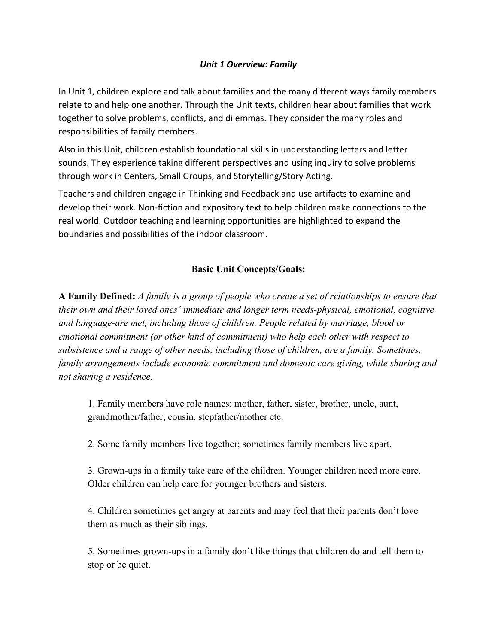## *Unit 1 Overview: Family*

In Unit 1, children explore and talk about families and the many different ways family members relate to and help one another. Through the Unit texts, children hear about families that work together to solve problems, conflicts, and dilemmas. They consider the many roles and responsibilities of family members.

Also in this Unit, children establish foundational skills in understanding letters and letter sounds. They experience taking different perspectives and using inquiry to solve problems through work in Centers, Small Groups, and Storytelling/Story Acting.

Teachers and children engage in Thinking and Feedback and use artifacts to examine and develop their work. Non-fiction and expository text to help children make connections to the real world. Outdoor teaching and learning opportunities are highlighted to expand the boundaries and possibilities of the indoor classroom.

## **Basic Unit Concepts/Goals:**

**A Family Defined:** *A family is a group of people who create a set of relationships to ensure that their own and their loved ones' immediate and longer term needs-physical, emotional, cognitive and language-are met, including those of children. People related by marriage, blood or emotional commitment (or other kind of commitment) who help each other with respect to subsistence and a range of other needs, including those of children, are a family. Sometimes, family arrangements include economic commitment and domestic care giving, while sharing and not sharing a residence.*

1. Family members have role names: mother, father, sister, brother, uncle, aunt, grandmother/father, cousin, stepfather/mother etc.

2. Some family members live together; sometimes family members live apart.

3. Grown-ups in a family take care of the children. Younger children need more care. Older children can help care for younger brothers and sisters.

4. Children sometimes get angry at parents and may feel that their parents don't love them as much as their siblings.

5. Sometimes grown-ups in a family don't like things that children do and tell them to stop or be quiet.